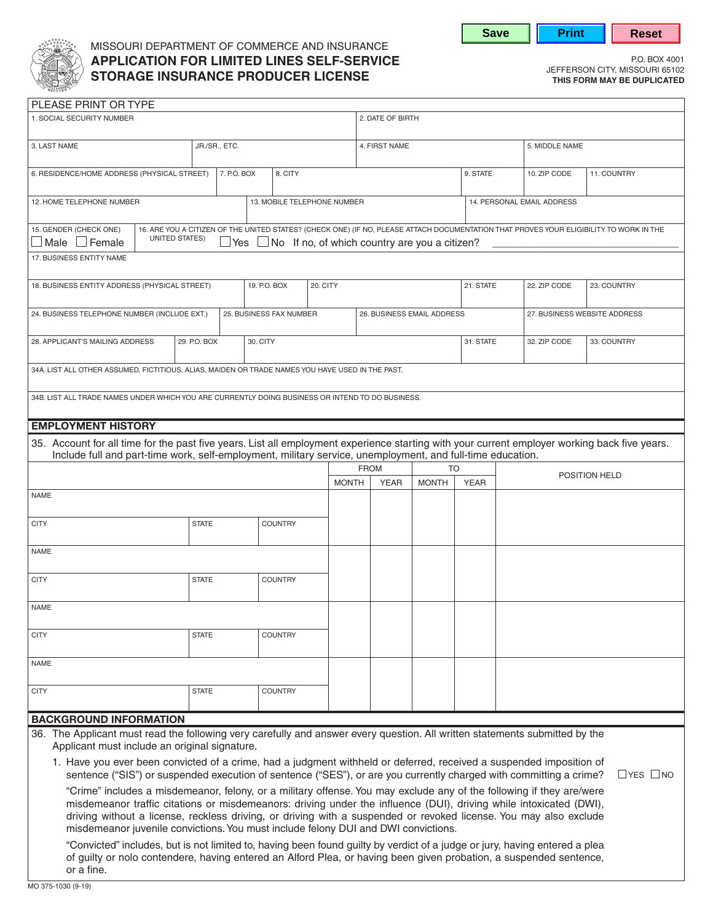

# MISSOURI DEPARTMENT OF COMMERCE AND INSURANCE **APPLICATION FOR LIMITED LINES SELF-SERVICE**<br> **CERCE ANGLIFANCE BRODUCED LIGENCE**<br> **CERCE ANGLIFANCE BRODUCED LIGENCE STORAGE INSURANCE PRODUCER LICENSE STORAGE THIS FORM MAY BE DUPLICATED**

**Save | Print | Reset** 

| PLEASE PRINT OR TYPE                                                                                                                                                                                                                                                            |                                                 |              |                        |                             |                |                  |              |                            |              |             |                            |                              |             |  |
|---------------------------------------------------------------------------------------------------------------------------------------------------------------------------------------------------------------------------------------------------------------------------------|-------------------------------------------------|--------------|------------------------|-----------------------------|----------------|------------------|--------------|----------------------------|--------------|-------------|----------------------------|------------------------------|-------------|--|
| 1. SOCIAL SECURITY NUMBER                                                                                                                                                                                                                                                       |                                                 |              |                        |                             |                | 2. DATE OF BIRTH |              |                            |              |             |                            |                              |             |  |
| JR./SR., ETC.<br>3. LAST NAME                                                                                                                                                                                                                                                   |                                                 |              |                        |                             |                |                  |              | 4. FIRST NAME              |              |             |                            | 5. MIDDLE NAME               |             |  |
| 6. RESIDENCE/HOME ADDRESS (PHYSICAL STREET)                                                                                                                                                                                                                                     |                                                 |              | 7. P.O. BOX<br>8. CITY |                             |                |                  |              |                            |              | 9. STATE    |                            | 10. ZIP CODE                 | 11. COUNTRY |  |
| 12. HOME TELEPHONE NUMBER                                                                                                                                                                                                                                                       |                                                 |              |                        | 13. MOBILE TELEPHONE NUMBER |                |                  |              |                            |              |             | 14. PERSONAL EMAIL ADDRESS |                              |             |  |
| 16. ARE YOU A CITIZEN OF THE UNITED STATES? (CHECK ONE) (IF NO, PLEASE ATTACH DOCUMENTATION THAT PROVES YOUR ELIGIBILITY TO WORK IN THE<br>15. GENDER (CHECK ONE)<br><b>UNITED STATES)</b><br>Male $\Box$ Female<br>No If no, of which country are you a citizen?<br><b>Yes</b> |                                                 |              |                        |                             |                |                  |              |                            |              |             |                            |                              |             |  |
| 17. BUSINESS ENTITY NAME                                                                                                                                                                                                                                                        |                                                 |              |                        |                             |                |                  |              |                            |              |             |                            |                              |             |  |
| 18. BUSINESS ENTITY ADDRESS (PHYSICAL STREET)                                                                                                                                                                                                                                   |                                                 |              |                        | 20. CITY<br>19. P.O. BOX    |                |                  |              |                            |              | 21. STATE   |                            | 22. ZIP CODE                 | 23. COUNTRY |  |
| 24. BUSINESS TELEPHONE NUMBER (INCLUDE EXT.)                                                                                                                                                                                                                                    |                                                 |              |                        | 25. BUSINESS FAX NUMBER     |                |                  |              | 26. BUSINESS EMAIL ADDRESS |              |             |                            | 27. BUSINESS WEBSITE ADDRESS |             |  |
|                                                                                                                                                                                                                                                                                 | 28. APPLICANT'S MAILING ADDRESS<br>29. P.O. BOX |              |                        | 30. CITY                    |                |                  |              |                            |              |             | 31. STATE                  | 32. ZIP CODE                 | 33. COUNTRY |  |
| 34A. LIST ALL OTHER ASSUMED, FICTITIOUS, ALIAS, MAIDEN OR TRADE NAMES YOU HAVE USED IN THE PAST.                                                                                                                                                                                |                                                 |              |                        |                             |                |                  |              |                            |              |             |                            |                              |             |  |
| 34B. LIST ALL TRADE NAMES UNDER WHICH YOU ARE CURRENTLY DOING BUSINESS OR INTEND TO DO BUSINESS.                                                                                                                                                                                |                                                 |              |                        |                             |                |                  |              |                            |              |             |                            |                              |             |  |
| <b>EMPLOYMENT HISTORY</b>                                                                                                                                                                                                                                                       |                                                 |              |                        |                             |                |                  |              |                            |              |             |                            |                              |             |  |
| 35. Account for all time for the past five years. List all employment experience starting with your current employer working back five years.<br>Include full and part-time work, self-employment, military service, unemployment, and full-time education.                     |                                                 |              |                        |                             |                |                  |              |                            |              |             |                            |                              |             |  |
|                                                                                                                                                                                                                                                                                 |                                                 |              |                        |                             |                |                  |              | <b>FROM</b>                |              | <b>TO</b>   |                            |                              |             |  |
|                                                                                                                                                                                                                                                                                 |                                                 |              |                        |                             |                |                  | <b>MONTH</b> | <b>YEAR</b>                | <b>MONTH</b> | <b>YEAR</b> |                            | POSITION HELD                |             |  |
| <b>NAME</b>                                                                                                                                                                                                                                                                     |                                                 |              |                        |                             |                |                  |              |                            |              |             |                            |                              |             |  |
| <b>CITY</b>                                                                                                                                                                                                                                                                     |                                                 | <b>STATE</b> |                        |                             | <b>COUNTRY</b> |                  |              |                            |              |             |                            |                              |             |  |
| <b>NAME</b>                                                                                                                                                                                                                                                                     |                                                 |              |                        |                             |                |                  |              |                            |              |             |                            |                              |             |  |
| <b>CITY</b>                                                                                                                                                                                                                                                                     |                                                 | <b>STATE</b> |                        |                             | <b>COUNTRY</b> |                  |              |                            |              |             |                            |                              |             |  |
| <b>NAME</b>                                                                                                                                                                                                                                                                     |                                                 |              |                        |                             |                |                  |              |                            |              |             |                            |                              |             |  |
| <b>CITY</b>                                                                                                                                                                                                                                                                     |                                                 | <b>STATE</b> |                        |                             | <b>COUNTRY</b> |                  |              |                            |              |             |                            |                              |             |  |
| <b>NAME</b>                                                                                                                                                                                                                                                                     |                                                 |              |                        |                             |                |                  |              |                            |              |             |                            |                              |             |  |
| <b>CITY</b>                                                                                                                                                                                                                                                                     |                                                 | <b>STATE</b> |                        |                             | <b>COUNTRY</b> |                  |              |                            |              |             |                            |                              |             |  |
| <b>BACKGROUND INFORMATION</b>                                                                                                                                                                                                                                                   |                                                 |              |                        |                             |                |                  |              |                            |              |             |                            |                              |             |  |
| 36. The Applicant must read the following very carefully and answer every question. All written statements submitted by the<br>Applicant must include an original signature.                                                                                                    |                                                 |              |                        |                             |                |                  |              |                            |              |             |                            |                              |             |  |
| 1. Have you ever been convicted of a crime, had a judgment withheld or deferred, received a suspended imposition of<br>sentence ("SIS") or suspended execution of sentence ("SES"), or are you currently charged with committing a crime?<br>$\Box$ YES $\Box$ NO               |                                                 |              |                        |                             |                |                  |              |                            |              |             |                            |                              |             |  |
| "Crime" includes a misdemeanor, felony, or a military offense. You may exclude any of the following if they are/were                                                                                                                                                            |                                                 |              |                        |                             |                |                  |              |                            |              |             |                            |                              |             |  |
| misdemeanor traffic citations or misdemeanors: driving under the influence (DUI), driving while intoxicated (DWI),<br>driving without a license, reckless driving, or driving with a suspended or revoked license. You may also exclude                                         |                                                 |              |                        |                             |                |                  |              |                            |              |             |                            |                              |             |  |
| misdemeanor juvenile convictions. You must include felony DUI and DWI convictions.                                                                                                                                                                                              |                                                 |              |                        |                             |                |                  |              |                            |              |             |                            |                              |             |  |
| "Convicted" includes, but is not limited to, having been found guilty by verdict of a judge or jury, having entered a plea                                                                                                                                                      |                                                 |              |                        |                             |                |                  |              |                            |              |             |                            |                              |             |  |

of guilty or nolo contendere, having entered an Alford Plea, or having been given probation, a suspended sentence,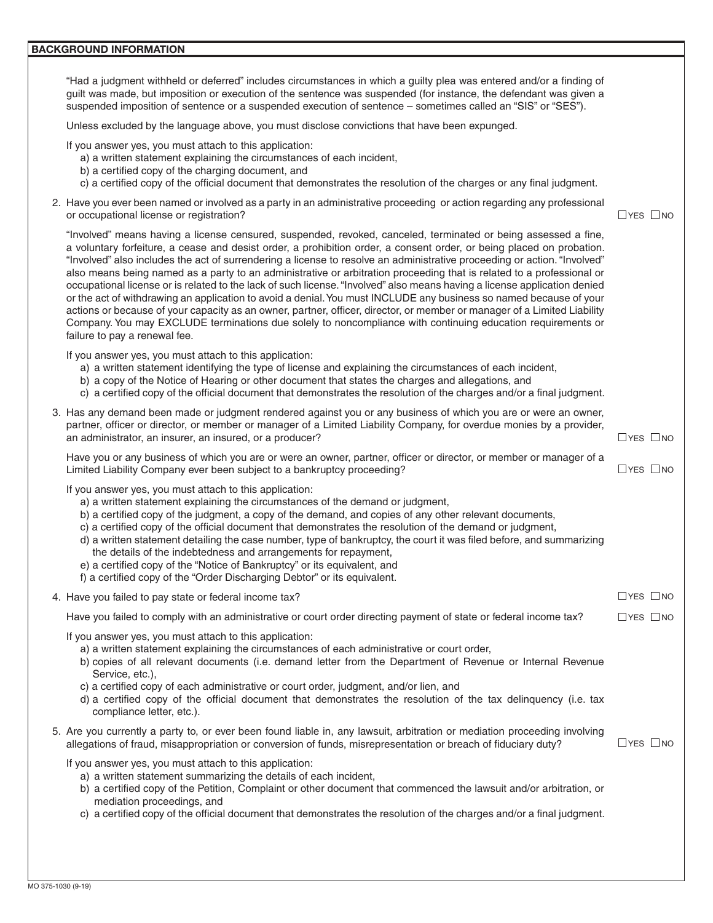#### **BACKGROUND INFORMATION**

| "Had a judgment withheld or deferred" includes circumstances in which a guilty plea was entered and/or a finding of |
|---------------------------------------------------------------------------------------------------------------------|
| guilt was made, but imposition or execution of the sentence was suspended (for instance, the defendant was given a  |
| suspended imposition of sentence or a suspended execution of sentence – sometimes called an "SIS" or "SES").        |

Unless excluded by the language above, you must disclose convictions that have been expunged.

If you answer yes, you must attach to this application:

- a) a written statement explaining the circumstances of each incident,
- b) a certified copy of the charging document, and
- c) a certified copy of the official document that demonstrates the resolution of the charges or any final judgment.
- 2. Have you ever been named or involved as a party in an administrative proceeding or action regarding any professional or occupational license or registration?  $\Box$  YES  $\Box$  NO

 "Involved" also includes the act of surrendering a license to resolve an administrative proceeding or action. "Involved" "Involved" means having a license censured, suspended, revoked, canceled, terminated or being assessed a fine, a voluntary forfeiture, a cease and desist order, a prohibition order, a consent order, or being placed on probation. also means being named as a party to an administrative or arbitration proceeding that is related to a professional or occupational license or is related to the lack of such license. "Involved" also means having a license application denied or the act of withdrawing an application to avoid a denial.You must INCLUDE any business so named because of your actions or because of your capacity as an owner, partner, officer, director, or member or manager of a Limited Liability Company. You may EXCLUDE terminations due solely to noncompliance with continuing education requirements or failure to pay a renewal fee.

If you answer yes, you must attach to this application:

- a) a written statement identifying the type of license and explaining the circumstances of each incident,
- b) a copy of the Notice of Hearing or other document that states the charges and allegations, and

| D) a copy of the Notice of Hearing of other document that states the charges and allegations, and<br>c) a certified copy of the official document that demonstrates the resolution of the charges and/or a final judgment.                                                                                                                                                                                                                                                                                                                                                                                                                                                                                         |                      |
|--------------------------------------------------------------------------------------------------------------------------------------------------------------------------------------------------------------------------------------------------------------------------------------------------------------------------------------------------------------------------------------------------------------------------------------------------------------------------------------------------------------------------------------------------------------------------------------------------------------------------------------------------------------------------------------------------------------------|----------------------|
| 3. Has any demand been made or judgment rendered against you or any business of which you are or were an owner,<br>partner, officer or director, or member or manager of a Limited Liability Company, for overdue monies by a provider,<br>an administrator, an insurer, an insured, or a producer?                                                                                                                                                                                                                                                                                                                                                                                                                | $\Box$ YES $\Box$ NO |
| Have you or any business of which you are or were an owner, partner, officer or director, or member or manager of a<br>Limited Liability Company ever been subject to a bankruptcy proceeding?                                                                                                                                                                                                                                                                                                                                                                                                                                                                                                                     | $\Box$ YES $\Box$ NO |
| If you answer yes, you must attach to this application:<br>a) a written statement explaining the circumstances of the demand or judgment,<br>b) a certified copy of the judgment, a copy of the demand, and copies of any other relevant documents,<br>c) a certified copy of the official document that demonstrates the resolution of the demand or judgment,<br>d) a written statement detailing the case number, type of bankruptcy, the court it was filed before, and summarizing<br>the details of the indebtedness and arrangements for repayment,<br>e) a certified copy of the "Notice of Bankruptcy" or its equivalent, and<br>f) a certified copy of the "Order Discharging Debtor" or its equivalent. |                      |
| 4. Have you failed to pay state or federal income tax?                                                                                                                                                                                                                                                                                                                                                                                                                                                                                                                                                                                                                                                             | $\Box$ YES $\Box$ NO |
| Have you failed to comply with an administrative or court order directing payment of state or federal income tax?                                                                                                                                                                                                                                                                                                                                                                                                                                                                                                                                                                                                  | $\Box$ YES $\Box$ NO |
| If you answer yes, you must attach to this application:<br>a) a written statement explaining the circumstances of each administrative or court order,<br>b) copies of all relevant documents (i.e. demand letter from the Department of Revenue or Internal Revenue<br>Service, etc.),<br>c) a certified copy of each administrative or court order, judgment, and/or lien, and<br>d) a certified copy of the official document that demonstrates the resolution of the tax delinquency (i.e. tax<br>compliance letter, etc.).                                                                                                                                                                                     |                      |
| 5. Are you currently a party to, or ever been found liable in, any lawsuit, arbitration or mediation proceeding involving<br>allegations of fraud, misappropriation or conversion of funds, misrepresentation or breach of fiduciary duty?                                                                                                                                                                                                                                                                                                                                                                                                                                                                         | $\Box$ YES $\Box$ NO |
| If you answer yes, you must attach to this application:<br>a) a written statement summarizing the details of each incident,<br>b) a certified copy of the Petition, Complaint or other document that commenced the lawsuit and/or arbitration, or<br>mediation proceedings, and<br>c) a certified copy of the official document that demonstrates the resolution of the charges and/or a final judgment.                                                                                                                                                                                                                                                                                                           |                      |
|                                                                                                                                                                                                                                                                                                                                                                                                                                                                                                                                                                                                                                                                                                                    |                      |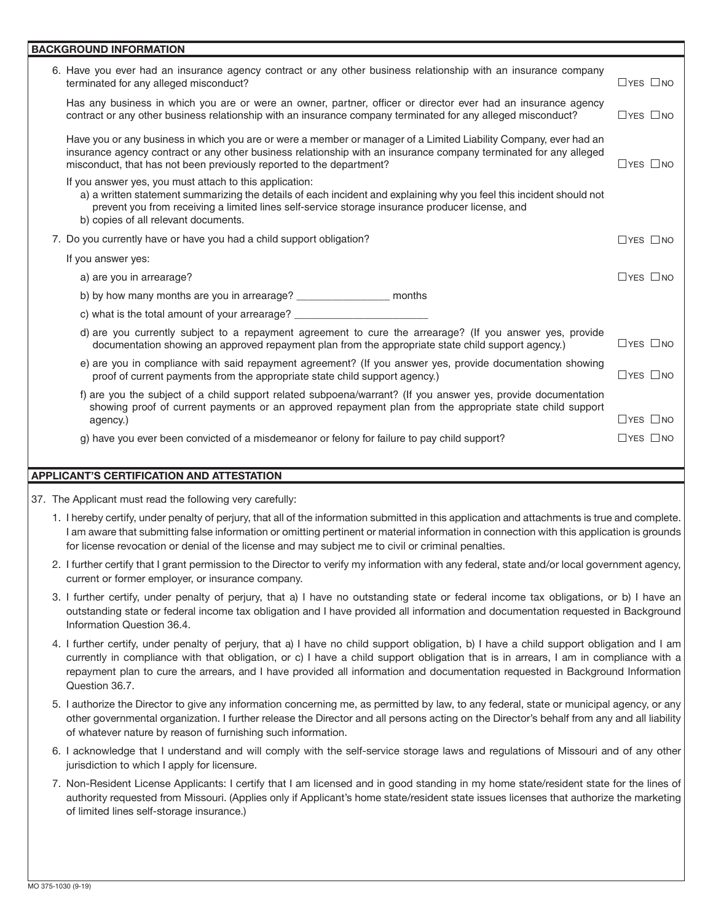### **BACKGROUND INFORMATION**

| 6. Have you ever had an insurance agency contract or any other business relationship with an insurance company<br>terminated for any alleged misconduct?                                                                                                                                                                   | $\Box$ YES $\Box$ NO |  |  |  |  |  |
|----------------------------------------------------------------------------------------------------------------------------------------------------------------------------------------------------------------------------------------------------------------------------------------------------------------------------|----------------------|--|--|--|--|--|
| Has any business in which you are or were an owner, partner, officer or director ever had an insurance agency<br>contract or any other business relationship with an insurance company terminated for any alleged misconduct?                                                                                              | $\Box$ YES $\Box$ NO |  |  |  |  |  |
| Have you or any business in which you are or were a member or manager of a Limited Liability Company, ever had an<br>insurance agency contract or any other business relationship with an insurance company terminated for any alleged<br>misconduct, that has not been previously reported to the department?             | $\Box$ YES $\Box$ NO |  |  |  |  |  |
| If you answer yes, you must attach to this application:<br>a) a written statement summarizing the details of each incident and explaining why you feel this incident should not<br>prevent you from receiving a limited lines self-service storage insurance producer license, and<br>b) copies of all relevant documents. |                      |  |  |  |  |  |
| 7. Do you currently have or have you had a child support obligation?                                                                                                                                                                                                                                                       | $\Box$ YES $\Box$ NO |  |  |  |  |  |
| If you answer yes:                                                                                                                                                                                                                                                                                                         |                      |  |  |  |  |  |
| a) are you in arrearage?                                                                                                                                                                                                                                                                                                   | $\Box$ YES $\Box$ NO |  |  |  |  |  |
| b) by how many months are you in arrearage? ___________________ months                                                                                                                                                                                                                                                     |                      |  |  |  |  |  |
| c) what is the total amount of your arrearage? _____________                                                                                                                                                                                                                                                               |                      |  |  |  |  |  |
| d) are you currently subject to a repayment agreement to cure the arrearage? (If you answer yes, provide<br>documentation showing an approved repayment plan from the appropriate state child support agency.)                                                                                                             | $\Box$ YES $\Box$ NO |  |  |  |  |  |
| e) are you in compliance with said repayment agreement? (If you answer yes, provide documentation showing<br>proof of current payments from the appropriate state child support agency.)                                                                                                                                   | $\Box$ YES $\Box$ NO |  |  |  |  |  |
| f) are you the subject of a child support related subpoena/warrant? (If you answer yes, provide documentation<br>showing proof of current payments or an approved repayment plan from the appropriate state child support                                                                                                  |                      |  |  |  |  |  |
| agency.)                                                                                                                                                                                                                                                                                                                   | $\Box$ YES $\Box$ NO |  |  |  |  |  |
| g) have you ever been convicted of a misdemeanor or felony for failure to pay child support?                                                                                                                                                                                                                               | $\Box$ YES $\Box$ NO |  |  |  |  |  |
|                                                                                                                                                                                                                                                                                                                            |                      |  |  |  |  |  |

## **APPLICANT'S CERTIFICATION AND ATTESTATION**

37. The Applicant must read the following very carefully:

- 1. I hereby certify, under penalty of perjury, that all of the information submitted in this application and attachments is true and complete. I am aware that submitting false information or omitting pertinent or material information in connection with this application is grounds for license revocation or denial of the license and may subject me to civil or criminal penalties.
- 2. I further certify that I grant permission to the Director to verify my information with any federal, state and/or local government agency, current or former employer, or insurance company.
- 3. I further certify, under penalty of perjury, that a) I have no outstanding state or federal income tax obligations, or b) I have an outstanding state or federal income tax obligation and I have provided all information and documentation requested in Background Information Question 36.4.
- 4. I further certify, under penalty of perjury, that a) I have no child support obligation, b) I have a child support obligation and I am currently in compliance with that obligation, or c) I have a child support obligation that is in arrears, I am in compliance with a repayment plan to cure the arrears, and I have provided all information and documentation requested in Background Information Question 36.7.
- 5. I authorize the Director to give any information concerning me, as permitted by law, to any federal, state or municipal agency, or any other governmental organization. I further release the Director and all persons acting on the Director's behalf from any and all liability of whatever nature by reason of furnishing such information.
- 6. I acknowledge that I understand and will comply with the self-service storage laws and regulations of Missouri and of any other jurisdiction to which I apply for licensure.
- 7. Non-Resident License Applicants: I certify that I am licensed and in good standing in my home state/resident state for the lines of authority requested from Missouri. (Applies only if Applicant's home state/resident state issues licenses that authorize the marketing of limited lines self-storage insurance.)